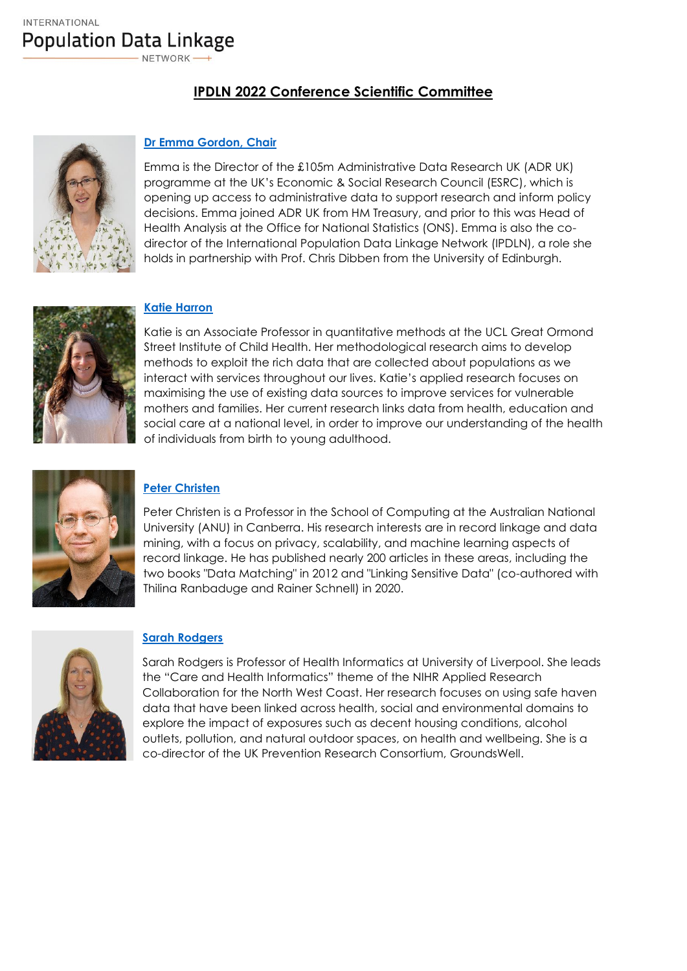**IPDLN 2022 Conference Scientific Committee** 



## **[Dr Emma Gordon, Chair](https://www.adruk.org/about-us/our-people/)**

Emma is the Director of the £105m Administrative Data Research UK (ADR UK) programme at the UK's Economic & Social Research Council (ESRC), which is opening up access to administrative data to support research and inform policy decisions. Emma joined ADR UK from HM Treasury, and prior to this was Head of Health Analysis at the Office for National Statistics (ONS). Emma is also the codirector of the International Population Data Linkage Network (IPDLN), a role she holds in partnership with Prof. Chris Dibben from the University of Edinburgh.



#### **[Katie Harron](https://www.ucl.ac.uk/child-health/people/harron-katie)**

Katie is an Associate Professor in quantitative methods at the UCL Great Ormond Street Institute of Child Health. Her methodological research aims to develop methods to exploit the rich data that are collected about populations as we interact with services throughout our lives. Katie's applied research focuses on maximising the use of existing data sources to improve services for vulnerable mothers and families. Her current research links data from health, education and social care at a national level, in order to improve our understanding of the health of individuals from birth to young adulthood.



# **[Peter Christen](http://users.cecs.anu.edu.au/~christen/)**

Peter Christen is a Professor in the School of Computing at the Australian National University (ANU) in Canberra. His research interests are in record linkage and data mining, with a focus on privacy, scalability, and machine learning aspects of record linkage. He has published nearly 200 articles in these areas, including the two books "Data Matching" in 2012 and "Linking Sensitive Data" (co-authored with Thilina Ranbaduge and Rainer Schnell) in 2020.



#### **[Sarah Rodgers](https://www.liverpool.ac.uk/population-health/staff/sarah-rodgers/)**

Sarah Rodgers is Professor of Health Informatics at University of Liverpool. She leads the "Care and Health Informatics" theme of the NIHR Applied Research Collaboration for the North West Coast. Her research focuses on using safe haven data that have been linked across health, social and environmental domains to explore the impact of exposures such as decent housing conditions, alcohol outlets, pollution, and natural outdoor spaces, on health and wellbeing. She is a co-director of the UK Prevention Research Consortium, GroundsWell.